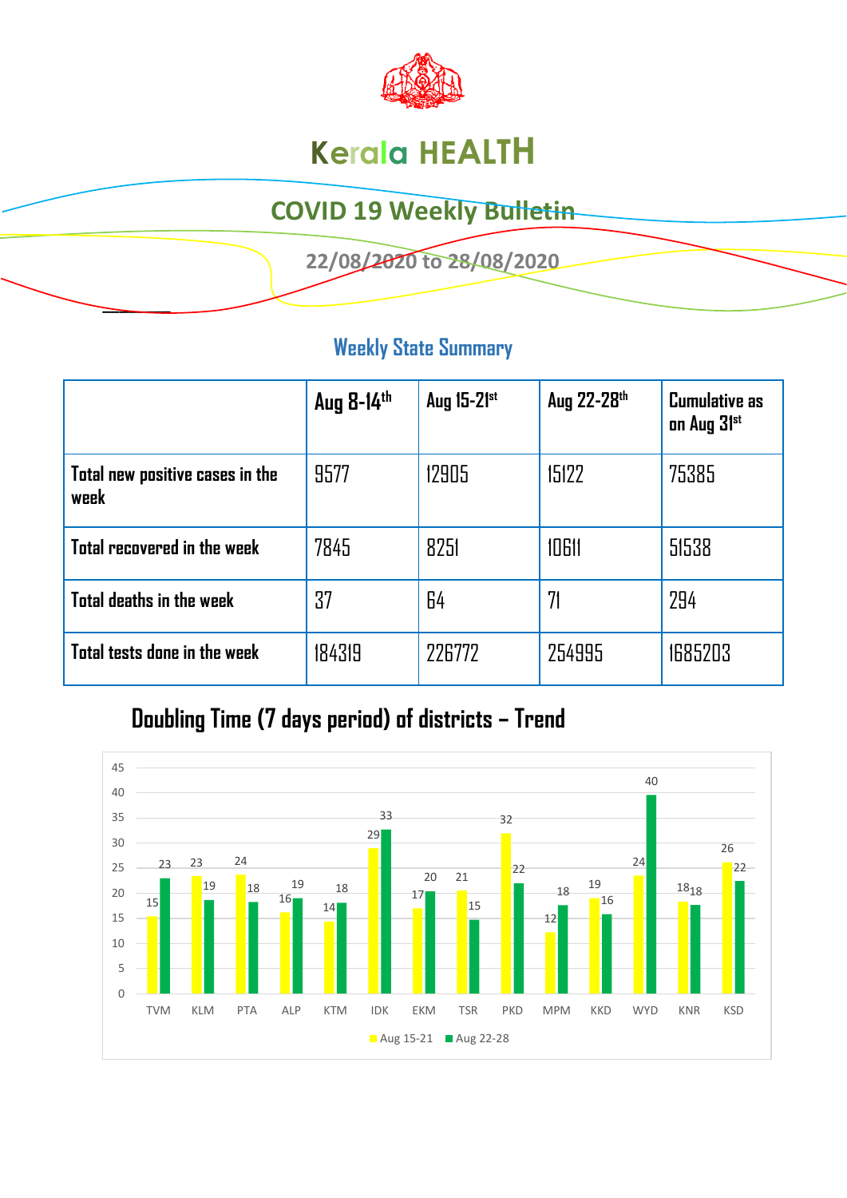

# **Kerala HEALTH**

## **COVID 19 Weekly Bulletin**

 **22/08/2020 to 28/08/2020** 

### **Weekly State Summary**

|                                         | Aug 8-14th | Aug 15-21st | Aug 22-28th | <b>Cumulative as</b><br>on Aug 31st |
|-----------------------------------------|------------|-------------|-------------|-------------------------------------|
| Total new positive cases in the<br>week | 9577       | 12905       | 15122       | 75385                               |
| Total recovered in the week             | 7845       | 8251        | 10611       | 51538                               |
| Total deaths in the week                | 37         | 64          | 71          | 294                                 |
| Total tests done in the week            | 184319     | 226772      | 254995      | 1685203                             |

## **Doubling Time (7 days period) of districts – Trend**

**\_\_\_\_\_\_\_\_** 

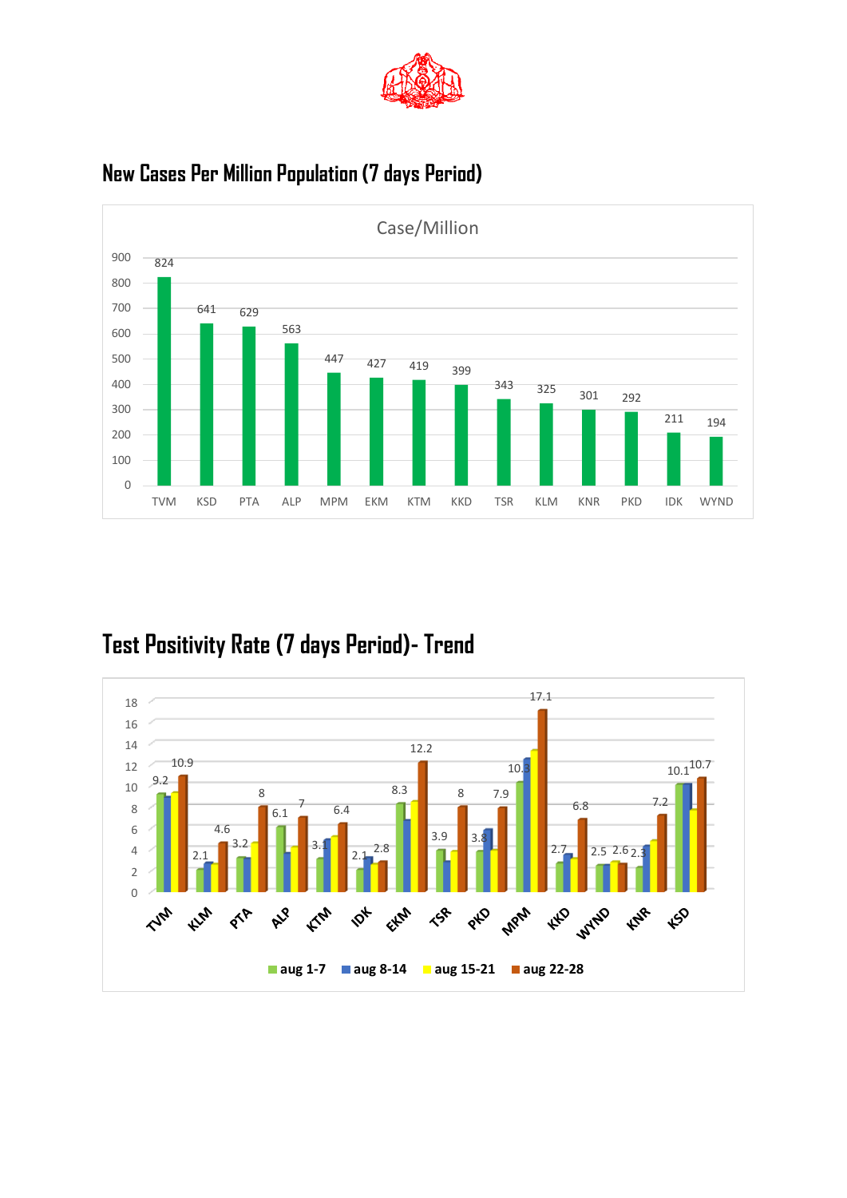



### **New Cases Per Million Population (7 days Period)**

## **Test Positivity Rate (7 days Period)- Trend**